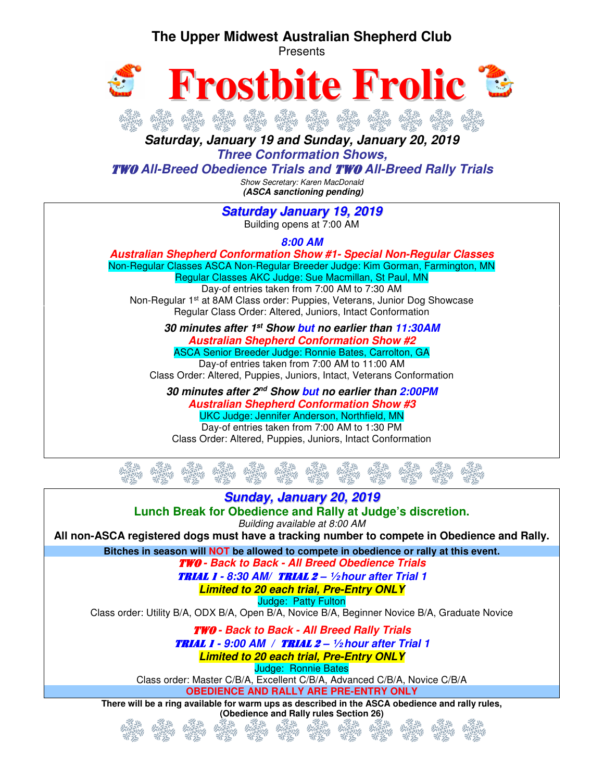### **The Upper Midwest Australian Shepherd Club**





**Saturday, January 19 and Sunday, January 20, 2019 Three Conformation Shows,** 

TWO **All-Breed Obedience Trials and** TWO **All-Breed Rally Trials** 

Show Secretary: Karen MacDonald  **(ASCA sanctioning pending)** 

**Saturday January 19, 2019** Building opens at 7:00 AM

**8:00 AM** 

**Australian Shepherd Conformation Show #1- Special Non-Regular Classes**  Non-Regular Classes ASCA Non-Regular Breeder Judge: Kim Gorman, Farmington, MN Regular Classes AKC Judge: Sue Macmillan, St Paul, MN Day-of entries taken from 7:00 AM to 7:30 AM Non-Regular 1st at 8AM Class order: Puppies, Veterans, Junior Dog Showcase Regular Class Order: Altered, Juniors, Intact Conformation

> **30 minutes after 1st Show but no earlier than 11:30AM Australian Shepherd Conformation Show #2**  ASCA Senior Breeder Judge: Ronnie Bates, Carrolton, GA

Day-of entries taken from 7:00 AM to 11:00 AM Class Order: Altered, Puppies, Juniors, Intact, Veterans Conformation

**30 minutes after 2nd Show but no earlier than 2:00PM Australian Shepherd Conformation Show #3**  UKC Judge: Jennifer Anderson, Northfield, MN Day-of entries taken from 7:00 AM to 1:30 PM

Class Order: Altered, Puppies, Juniors, Intact Conformation

**Sunday, January 20, 2019 Lunch Break for Obedience and Rally at Judge's discretion.**  Building available at 8:00 AM **All non-ASCA registered dogs must have a tracking number to compete in Obedience and Rally. Bitches in season will NOT be allowed to compete in obedience or rally at this event.** TWO **- Back to Back - All Breed Obedience Trials**  TRIAL 1 **- 8:30 AM/** TRIAL 2 **– ½ hour after Trial 1 Limited to 20 each trial, Pre-Entry ONLY**  Judge: Patty Fulton Class order: Utility B/A, ODX B/A, Open B/A, Novice B/A, Beginner Novice B/A, Graduate Novice TWO **- Back to Back - All Breed Rally Trials**  TRIAL 1 **- 9:00 AM /** TRIAL 2 **– ½ hour after Trial 1 Limited to 20 each trial, Pre-Entry ONLY**  Judge: Ronnie Bates Class order: Master C/B/A, Excellent C/B/A, Advanced C/B/A, Novice C/B/A **OBEDIENCE AND RALLY ARE PRE-ENTRY ONLY There will be a ring available for warm ups as described in the ASCA obedience and rally rules, (Obedience and Rally rules Section 26)**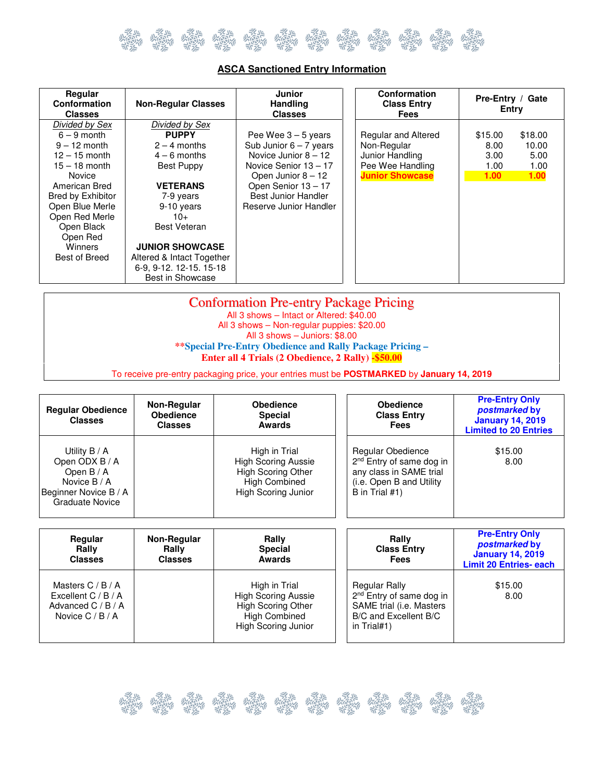

| Regular<br>Conformation<br><b>Classes</b> | <b>Non-Regular Classes</b> | Junior<br><b>Handling</b><br><b>Classes</b> | Conformation<br><b>Class Entry</b><br><b>Fees</b> |                   | Pre-Entry / Gate<br>Entry |
|-------------------------------------------|----------------------------|---------------------------------------------|---------------------------------------------------|-------------------|---------------------------|
| Divided by Sex                            | Divided by Sex             |                                             |                                                   |                   |                           |
| $6 - 9$ month                             | <b>PUPPY</b>               | Pee Wee $3 - 5$ years                       | <b>Regular and Altered</b>                        | \$15.00           | \$18.00                   |
| $9 - 12$ month                            | $2 - 4$ months             | Sub Junior $6 - 7$ years                    | Non-Regular                                       | 8.00              | 10.00                     |
| $12 - 15$ month                           | $4 - 6$ months             | Novice Junior $8 - 12$                      | Junior Handling                                   | 3.00 <sub>1</sub> | 5.00                      |
| 15 – 18 month                             | <b>Best Puppy</b>          | Novice Senior 13 - 17                       | Pee Wee Handling                                  | 1.00              | 1.00                      |
| Novice                                    |                            | Open Junior $8 - 12$                        | <b>Junior Showcase</b>                            | 1.00              | 1.00                      |
| American Bred                             | <b>VETERANS</b>            | Open Senior 13 - 17                         |                                                   |                   |                           |
| Bred by Exhibitor                         | 7-9 years                  | Best Junior Handler                         |                                                   |                   |                           |
| Open Blue Merle                           | 9-10 years                 | Reserve Junior Handler                      |                                                   |                   |                           |
| Open Red Merle                            | $10+$                      |                                             |                                                   |                   |                           |
| Open Black                                | <b>Best Veteran</b>        |                                             |                                                   |                   |                           |
| Open Red                                  |                            |                                             |                                                   |                   |                           |
| Winners                                   | <b>JUNIOR SHOWCASE</b>     |                                             |                                                   |                   |                           |
| Best of Breed                             | Altered & Intact Together  |                                             |                                                   |                   |                           |
|                                           | 6-9, 9-12, 12-15, 15-18    |                                             |                                                   |                   |                           |
|                                           | Best in Showcase           |                                             |                                                   |                   |                           |

#### **ASCA Sanctioned Entry Information**

| <b>Conformation Pre-entry Package Pricing</b>                                             |  |
|-------------------------------------------------------------------------------------------|--|
| All 3 shows - Intact or Altered: \$40.00                                                  |  |
| All 3 shows - Non-regular puppies: \$20.00                                                |  |
| All 3 shows - Juniors: \$8.00                                                             |  |
| **Special Pre-Entry Obedience and Rally Package Pricing –                                 |  |
| Enter all 4 Trials (2 Obedience, 2 Rally) -\$50.00                                        |  |
| To receive pre-entry packaging price, your entries must be POSTMARKED by January 14, 2019 |  |

| <b>Regular Obedience</b><br><b>Classes</b>                                                                         | Non-Regular<br><b>Obedience</b><br><b>Classes</b> | <b>Obedience</b><br><b>Special</b><br><b>Awards</b>                                                                     | <b>Obedience</b><br><b>Class Entry</b><br><b>Fees</b>                                                                                  | <b>Pre-Entry Only</b><br>postmarked by<br><b>January 14, 2019</b><br><b>Limited to 20 Entries</b> |
|--------------------------------------------------------------------------------------------------------------------|---------------------------------------------------|-------------------------------------------------------------------------------------------------------------------------|----------------------------------------------------------------------------------------------------------------------------------------|---------------------------------------------------------------------------------------------------|
| Utility $B / A$<br>Open ODX B / A<br>Open $B/A$<br>Novice B / A<br>Beginner Novice B / A<br><b>Graduate Novice</b> |                                                   | High in Trial<br><b>High Scoring Aussie</b><br><b>High Scoring Other</b><br><b>High Combined</b><br>High Scoring Junior | Regular Obedience<br>2 <sup>nd</sup> Entry of same dog in<br>any class in SAME trial<br>(i.e. Open B and Utility)<br>B in Trial $#1$ ) | \$15.00<br>8.00                                                                                   |

| Regular<br>Rally<br><b>Classes</b>                                                         | Non-Regular<br>Rally<br><b>Classes</b> | Rally<br><b>Special</b><br><b>Awards</b>                                                                                       | Rally<br><b>Class Entry</b><br><b>Fees</b>                                                                                         | <b>Pre-Entry Only</b><br><i>postmarked</i> by<br><b>January 14, 2019</b><br><b>Limit 20 Entries- each</b> |
|--------------------------------------------------------------------------------------------|----------------------------------------|--------------------------------------------------------------------------------------------------------------------------------|------------------------------------------------------------------------------------------------------------------------------------|-----------------------------------------------------------------------------------------------------------|
| Masters $C / B / A$<br>Excellent $C / B / A$<br>Advanced $C / B / A$<br>Novice $C / B / A$ |                                        | High in Trial<br><b>High Scoring Aussie</b><br><b>High Scoring Other</b><br><b>High Combined</b><br><b>High Scoring Junior</b> | <b>Regular Rally</b><br>2 <sup>nd</sup> Entry of same dog in<br>SAME trial (i.e. Masters<br>B/C and Excellent B/C<br>in $Trial#1)$ | \$15.00<br>8.00                                                                                           |

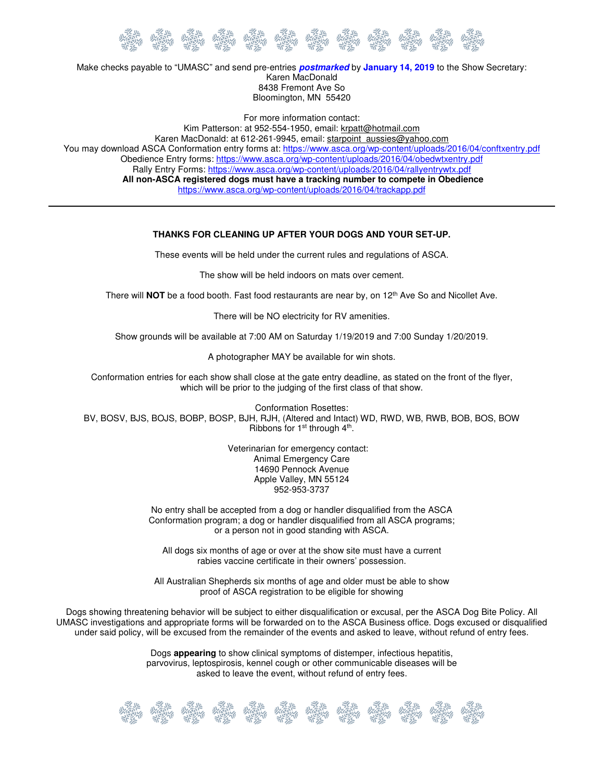

Make checks payable to "UMASC" and send pre-entries **postmarked** by **January 14, 2019** to the Show Secretary: Karen MacDonald 8438 Fremont Ave So Bloomington, MN 55420

For more information contact: Kim Patterson: at 952-554-1950, email: krpatt@hotmail.com Karen MacDonald: at 612-261-9945, email: starpoint\_aussies@yahoo.com You may download ASCA Conformation entry forms at: https://www.asca.org/wp-content/uploads/2016/04/conftxentry.pdf Obedience Entry forms: https://www.asca.org/wp-content/uploads/2016/04/obedwtxentry.pdf Rally Entry Forms: https://www.asca.org/wp-content/uploads/2016/04/rallyentrywtx.pdf **All non-ASCA registered dogs must have a tracking number to compete in Obedience**  https://www.asca.org/wp-content/uploads/2016/04/trackapp.pdf

#### **THANKS FOR CLEANING UP AFTER YOUR DOGS AND YOUR SET-UP.**

These events will be held under the current rules and regulations of ASCA.

The show will be held indoors on mats over cement.

There will **NOT** be a food booth. Fast food restaurants are near by, on 12<sup>th</sup> Ave So and Nicollet Ave.

There will be NO electricity for RV amenities.

Show grounds will be available at 7:00 AM on Saturday 1/19/2019 and 7:00 Sunday 1/20/2019.

A photographer MAY be available for win shots.

Conformation entries for each show shall close at the gate entry deadline, as stated on the front of the flyer, which will be prior to the judging of the first class of that show.

Conformation Rosettes: BV, BOSV, BJS, BOJS, BOBP, BOSP, BJH, RJH, (Altered and Intact) WD, RWD, WB, RWB, BOB, BOS, BOW Ribbons for  $1<sup>st</sup>$  through  $4<sup>th</sup>$ .

> Veterinarian for emergency contact: Animal Emergency Care 14690 Pennock Avenue Apple Valley, MN 55124 952-953-3737

No entry shall be accepted from a dog or handler disqualified from the ASCA Conformation program; a dog or handler disqualified from all ASCA programs; or a person not in good standing with ASCA.

All dogs six months of age or over at the show site must have a current rabies vaccine certificate in their owners' possession.

All Australian Shepherds six months of age and older must be able to show proof of ASCA registration to be eligible for showing

Dogs showing threatening behavior will be subject to either disqualification or excusal, per the ASCA Dog Bite Policy. All UMASC investigations and appropriate forms will be forwarded on to the ASCA Business office. Dogs excused or disqualified under said policy, will be excused from the remainder of the events and asked to leave, without refund of entry fees.

> Dogs **appearing** to show clinical symptoms of distemper, infectious hepatitis, parvovirus, leptospirosis, kennel cough or other communicable diseases will be asked to leave the event, without refund of entry fees.

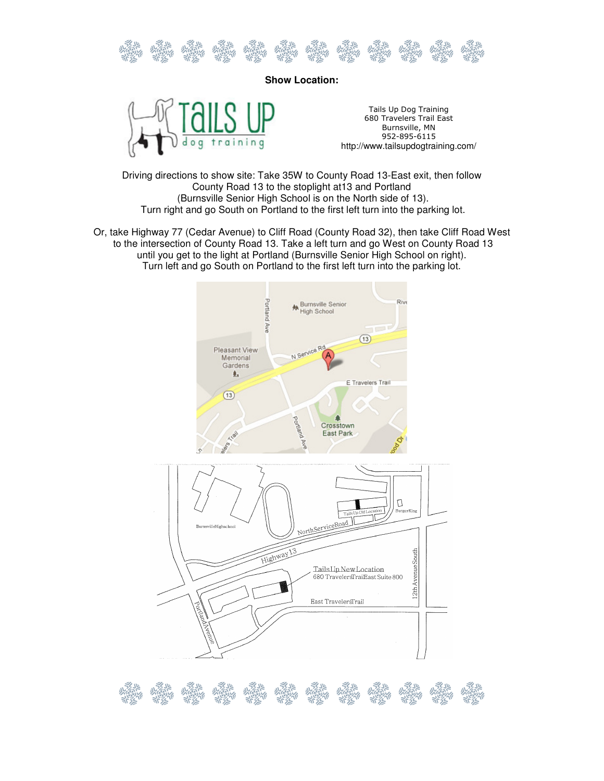

**Show Location:** 



Tails Up Dog Training 680 Travelers Trail East Burnsville, MN 952-895-6115 http://www.tailsupdogtraining.com/

Driving directions to show site: Take 35W to County Road 13-East exit, then follow County Road 13 to the stoplight at13 and Portland (Burnsville Senior High School is on the North side of 13). Turn right and go South on Portland to the first left turn into the parking lot.

Or, take Highway 77 (Cedar Avenue) to Cliff Road (County Road 32), then take Cliff Road West to the intersection of County Road 13. Take a left turn and go West on County Road 13 until you get to the light at Portland (Burnsville Senior High School on right). Turn left and go South on Portland to the first left turn into the parking lot.